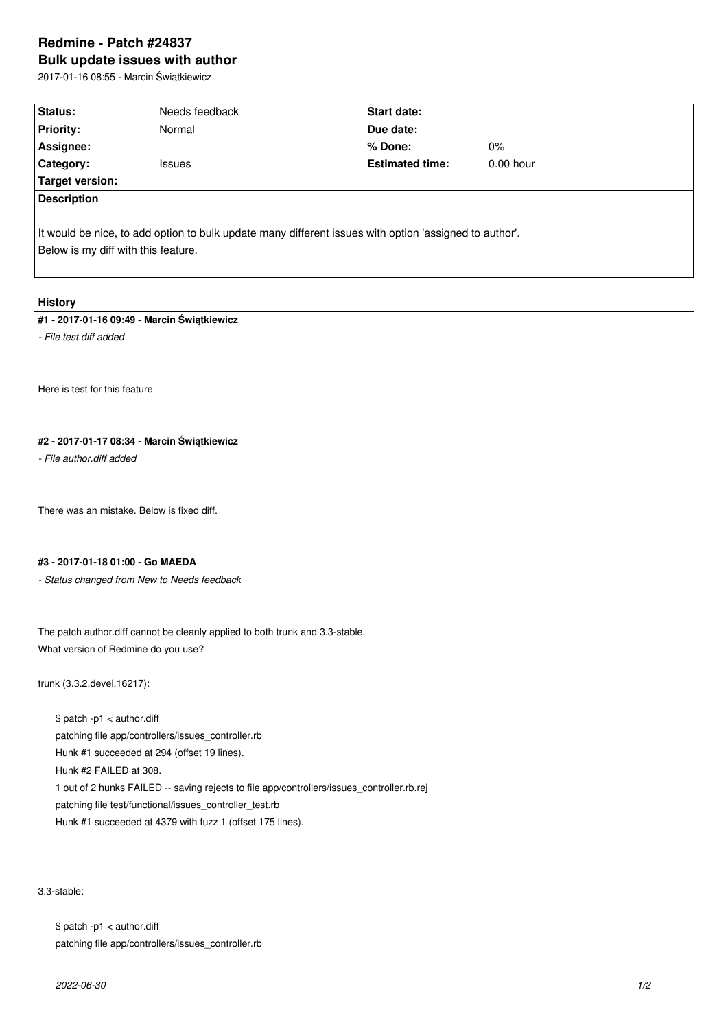# **Redmine - Patch #24837 Bulk update issues with author**

2017-01-16 08:55 - Marcin Świątkiewicz

| Status:                             | Needs feedback                                                                                         | Start date:            |             |  |  |
|-------------------------------------|--------------------------------------------------------------------------------------------------------|------------------------|-------------|--|--|
| <b>Priority:</b>                    | Normal                                                                                                 | Due date:              |             |  |  |
| Assignee:                           |                                                                                                        | $%$ Done:              | $0\%$       |  |  |
| Category:                           | <b>Issues</b>                                                                                          | <b>Estimated time:</b> | $0.00$ hour |  |  |
| Target version:                     |                                                                                                        |                        |             |  |  |
| <b>Description</b>                  |                                                                                                        |                        |             |  |  |
| Below is my diff with this feature. | It would be nice, to add option to bulk update many different issues with option 'assigned to author'. |                        |             |  |  |

### **History**

### **#1 - 2017-01-16 09:49 - Marcin Świątkiewicz**

*- File test.diff added*

Here is test for this feature

## **#2 - 2017-01-17 08:34 - Marcin Świątkiewicz**

*- File author.diff added*

There was an mistake. Below is fixed diff.

### **#3 - 2017-01-18 01:00 - Go MAEDA**

*- Status changed from New to Needs feedback*

The patch author.diff cannot be cleanly applied to both trunk and 3.3-stable. What version of Redmine do you use?

trunk (3.3.2.devel.16217):

\$ patch -p1 < author.diff patching file app/controllers/issues\_controller.rb Hunk #1 succeeded at 294 (offset 19 lines). Hunk #2 FAILED at 308. 1 out of 2 hunks FAILED -- saving rejects to file app/controllers/issues\_controller.rb.rej patching file test/functional/issues\_controller\_test.rb Hunk #1 succeeded at 4379 with fuzz 1 (offset 175 lines).

3.3-stable:

\$ patch -p1 < author.diff patching file app/controllers/issues\_controller.rb